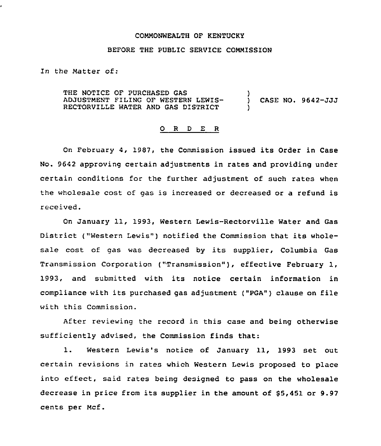### COMMONWEALTH OF KENTUCKY

# BEFORE THE PUBLIC SERVICE COMMISSION

In the Matter of:

THE NOTICE OF PURCHASED GAS ADJUSTMENT FILING OF WESTERN LEWIS-RECTORVILLE WATER AND GAS DISTRICT ) ) CASE NO. 9642-JJJ )

### O R D E R

On February 4, 1987, the Commission issued its Order in Case No. 9642 approving certain adjustments in rates and providing under certain conditions for the further adjustment of such rates when the wholesale cost of gas is increased or decreased or a refund is received.

On January 11, 1993, Western Lewis-Rectorville Water and Gas District ("Western Lewis") notified the Commission that its wholesale cost of gas was decreased by its supplier, Columbia Gas Transmission Corporation ("Transmission" ), effective February 1, 1993, and submitted with its notice certain information in compliance with its purchased gas adjustment ("PGA") clause on file with this Commission.

After reviewing the record in this case and being otherwise sufficiently advised, the Commission finds that:

1. Western Lewis's notice of January 11, 1993 set out certain revisions in rates which Western Lewis proposed to place into effect, said rates being designed to pass on the wholesale decrease in price from its supplier in the amount of \$5,451 or 9.97 cents per Mcf.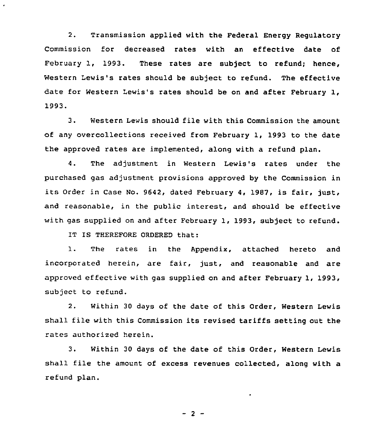2. Transmission applied with the Federal Energy Regulatory Commission for decreased rates with an effective date of February 1, 1993. These rates are subject to refund; hence, Western Lewis's rates should be subject to refund. The effective date for Western Lewis's rates should be on and after February 1, 1993.

3. Western Lewis should file with this Commission the amount of any overcollections received from February 1, 1993 to the date the approved rates are implemented, along with a refund plan.

4. The adjustment in Western Lewis's rates under the purchased gas adjustment provisions approved by the Commission in its order in case No. 9642, dated February 4, 1987, is fair, just. and reasonable, in the public interest, and should be effective with gas supplied on and after February 1, 1993, subject to refund.

IT IS THEREFORE ORDERED that:

.

1. The rates in the Appendix, attached hereto and incorporated herein, are fair, just, and reasonable and are approved effective with gas supplied on and after February 1, 1993, subject to refund.

2. Within 30 days of the date of this Order, Western Lewis shall file with this Commission its revised tariffs setting out the rates authorized herein.

3. Within 30 days of the date of this Order, Western Lewis shall file the amount of excess revenues collected, along with a refund plan.

 $-2 -$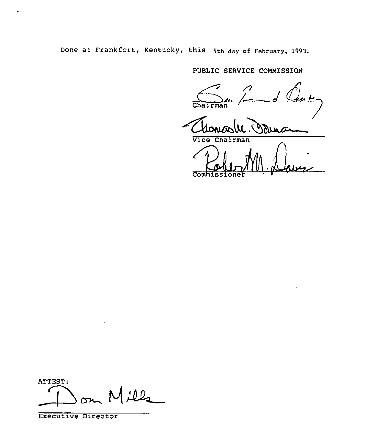Done at Frankfort, Kentucky, this 5th day of February, 1993.

PUBLIC SERVICE COMMISSION

Court SERVICE CONDISSION

Chairman<br>Choncos M. Doum

Commissione

ATTEST:  $Ll_2$ ᅪ

Executive Director

 $\bullet$